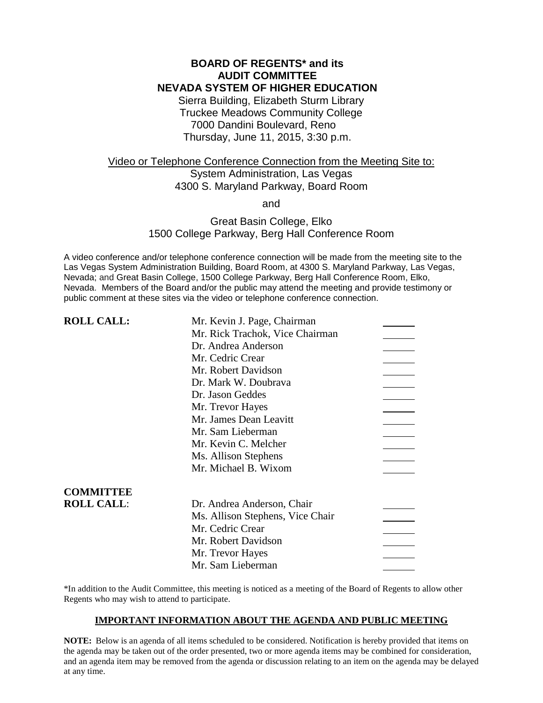# **BOARD OF REGENTS\* and its AUDIT COMMITTEE NEVADA SYSTEM OF HIGHER EDUCATION**

Sierra Building, Elizabeth Sturm Library Truckee Meadows Community College 7000 Dandini Boulevard, Reno Thursday, June 11, 2015, 3:30 p.m.

# Video or Telephone Conference Connection from the Meeting Site to: System Administration, Las Vegas 4300 S. Maryland Parkway, Board Room

and

# Great Basin College, Elko 1500 College Parkway, Berg Hall Conference Room

A video conference and/or telephone conference connection will be made from the meeting site to the Las Vegas System Administration Building, Board Room, at 4300 S. Maryland Parkway, Las Vegas, Nevada; and Great Basin College, 1500 College Parkway, Berg Hall Conference Room, Elko, Nevada. Members of the Board and/or the public may attend the meeting and provide testimony or public comment at these sites via the video or telephone conference connection.

| <b>ROLL CALL:</b> | Mr. Kevin J. Page, Chairman      |  |
|-------------------|----------------------------------|--|
|                   | Mr. Rick Trachok, Vice Chairman  |  |
|                   | Dr. Andrea Anderson              |  |
|                   | Mr. Cedric Crear                 |  |
|                   | Mr. Robert Davidson              |  |
|                   | Dr. Mark W. Doubrava             |  |
|                   | Dr. Jason Geddes                 |  |
|                   | Mr. Trevor Hayes                 |  |
|                   | Mr. James Dean Leavitt           |  |
|                   | Mr. Sam Lieberman                |  |
|                   | Mr. Kevin C. Melcher             |  |
|                   | Ms. Allison Stephens             |  |
|                   | Mr. Michael B. Wixom             |  |
| <b>COMMITTEE</b>  |                                  |  |
| <b>ROLL CALL:</b> | Dr. Andrea Anderson, Chair       |  |
|                   | Ms. Allison Stephens, Vice Chair |  |
|                   | Mr. Cedric Crear                 |  |
|                   | Mr. Robert Davidson              |  |
|                   | Mr. Trevor Hayes                 |  |
|                   | Mr. Sam Lieberman                |  |

\*In addition to the Audit Committee, this meeting is noticed as a meeting of the Board of Regents to allow other Regents who may wish to attend to participate.

### **IMPORTANT INFORMATION ABOUT THE AGENDA AND PUBLIC MEETING**

**NOTE:** Below is an agenda of all items scheduled to be considered. Notification is hereby provided that items on the agenda may be taken out of the order presented, two or more agenda items may be combined for consideration, and an agenda item may be removed from the agenda or discussion relating to an item on the agenda may be delayed at any time.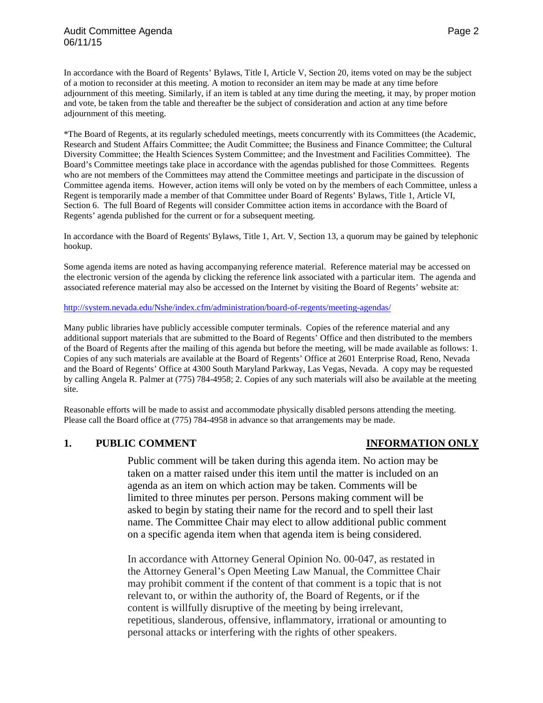In accordance with the Board of Regents' Bylaws, Title I, Article V, Section 20, items voted on may be the subject of a motion to reconsider at this meeting. A motion to reconsider an item may be made at any time before adjournment of this meeting. Similarly, if an item is tabled at any time during the meeting, it may, by proper motion and vote, be taken from the table and thereafter be the subject of consideration and action at any time before adjournment of this meeting.

\*The Board of Regents, at its regularly scheduled meetings, meets concurrently with its Committees (the Academic, Research and Student Affairs Committee; the Audit Committee; the Business and Finance Committee; the Cultural Diversity Committee; the Health Sciences System Committee; and the Investment and Facilities Committee). The Board's Committee meetings take place in accordance with the agendas published for those Committees. Regents who are not members of the Committees may attend the Committee meetings and participate in the discussion of Committee agenda items. However, action items will only be voted on by the members of each Committee, unless a Regent is temporarily made a member of that Committee under Board of Regents' Bylaws, Title 1, Article VI, Section 6. The full Board of Regents will consider Committee action items in accordance with the Board of Regents' agenda published for the current or for a subsequent meeting.

In accordance with the Board of Regents' Bylaws, Title 1, Art. V, Section 13, a quorum may be gained by telephonic hookup.

Some agenda items are noted as having accompanying reference material. Reference material may be accessed on the electronic version of the agenda by clicking the reference link associated with a particular item. The agenda and associated reference material may also be accessed on the Internet by visiting the Board of Regents' website at:

### <http://system.nevada.edu/Nshe/index.cfm/administration/board-of-regents/meeting-agendas/>

Many public libraries have publicly accessible computer terminals. Copies of the reference material and any additional support materials that are submitted to the Board of Regents' Office and then distributed to the members of the Board of Regents after the mailing of this agenda but before the meeting, will be made available as follows: 1. Copies of any such materials are available at the Board of Regents' Office at 2601 Enterprise Road, Reno, Nevada and the Board of Regents' Office at 4300 South Maryland Parkway, Las Vegas, Nevada. A copy may be requested by calling Angela R. Palmer at (775) 784-4958; 2. Copies of any such materials will also be available at the meeting site.

Reasonable efforts will be made to assist and accommodate physically disabled persons attending the meeting. Please call the Board office at (775) 784-4958 in advance so that arrangements may be made.

### **1. PUBLIC COMMENT INFORMATION ONLY**

Public comment will be taken during this agenda item. No action may be taken on a matter raised under this item until the matter is included on an agenda as an item on which action may be taken. Comments will be limited to three minutes per person. Persons making comment will be asked to begin by stating their name for the record and to spell their last name. The Committee Chair may elect to allow additional public comment on a specific agenda item when that agenda item is being considered.

In accordance with Attorney General Opinion No. 00-047, as restated in the Attorney General's Open Meeting Law Manual, the Committee Chair may prohibit comment if the content of that comment is a topic that is not relevant to, or within the authority of, the Board of Regents, or if the content is willfully disruptive of the meeting by being irrelevant, repetitious, slanderous, offensive, inflammatory, irrational or amounting to personal attacks or interfering with the rights of other speakers.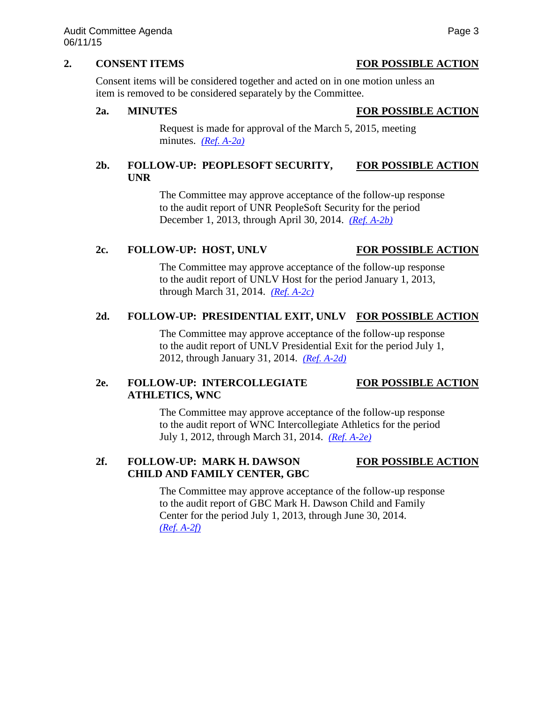# **2. CONSENT ITEMS FOR POSSIBLE ACTION**

Consent items will be considered together and acted on in one motion unless an item is removed to be considered separately by the Committee.

### **2a. MINUTES FOR POSSIBLE ACTION**

Request is made for approval of the March 5, 2015, meeting minutes. *[\(Ref. A-2a\)](http://system.nevada.edu/tasks/sites/Nshe/assets/File/BoardOfRegents/Agendas/2015/jun-mtgs/audit-refs/A-2a.pdf)*

# **2b. FOLLOW-UP: PEOPLESOFT SECURITY, FOR POSSIBLE ACTION UNR**

The Committee may approve acceptance of the follow-up response to the audit report of UNR PeopleSoft Security for the period December 1, 2013, through April 30, 2014. *[\(Ref. A-2b\)](http://system.nevada.edu/tasks/sites/Nshe/assets/File/BoardOfRegents/Agendas/2015/jun-mtgs/audit-refs/A-2b.pdf)*

# **2c. FOLLOW-UP: HOST, UNLV FOR POSSIBLE ACTION**

The Committee may approve acceptance of the follow-up response to the audit report of UNLV Host for the period January 1, 2013, through March 31, 2014. *[\(Ref. A-2c\)](http://system.nevada.edu/tasks/sites/Nshe/assets/File/BoardOfRegents/Agendas/2015/jun-mtgs/audit-refs/A-2c.pdf)*

# **2d. FOLLOW-UP: PRESIDENTIAL EXIT, UNLV FOR POSSIBLE ACTION**

The Committee may approve acceptance of the follow-up response to the audit report of UNLV Presidential Exit for the period July 1, 2012, through January 31, 2014. *[\(Ref. A-2d\)](http://system.nevada.edu/tasks/sites/Nshe/assets/File/BoardOfRegents/Agendas/2015/jun-mtgs/audit-refs/A-2d.pdf)*

# **2e. FOLLOW-UP: INTERCOLLEGIATE FOR POSSIBLE ACTION ATHLETICS, WNC**

The Committee may approve acceptance of the follow-up response to the audit report of WNC Intercollegiate Athletics for the period July 1, 2012, through March 31, 2014. *[\(Ref. A-2e\)](http://system.nevada.edu/tasks/sites/Nshe/assets/File/BoardOfRegents/Agendas/2015/jun-mtgs/audit-refs/A-2e.pdf)*

# **2f. FOLLOW-UP: MARK H. DAWSON FOR POSSIBLE ACTION CHILD AND FAMILY CENTER, GBC**

The Committee may approve acceptance of the follow-up response to the audit report of GBC Mark H. Dawson Child and Family Center for the period July 1, 2013, through June 30, 2014. *[\(Ref. A-2f\)](http://system.nevada.edu/tasks/sites/Nshe/assets/File/BoardOfRegents/Agendas/2015/jun-mtgs/audit-refs/A-2f.pdf)*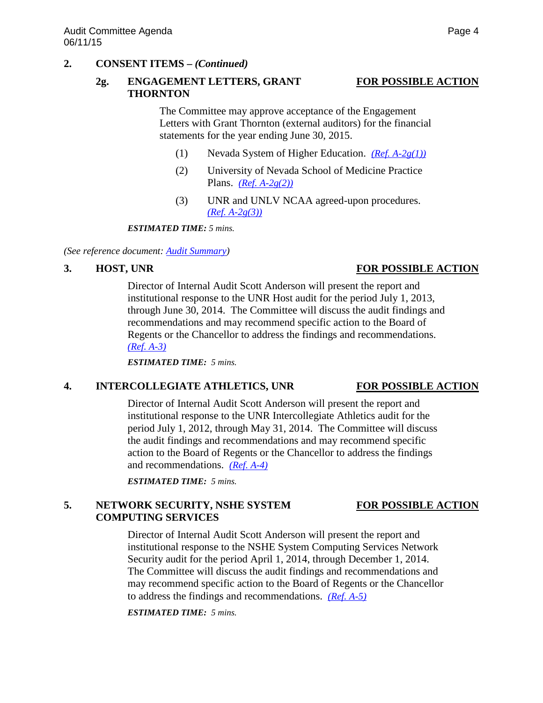# **2. CONSENT ITEMS –** *(Continued)*

# **2g. ENGAGEMENT LETTERS, GRANT FOR POSSIBLE ACTION THORNTON**

The Committee may approve acceptance of the Engagement Letters with Grant Thornton (external auditors) for the financial statements for the year ending June 30, 2015.

- (1) Nevada System of Higher Education. *[\(Ref. A-2g\(1\)\)](http://system.nevada.edu/tasks/sites/Nshe/assets/File/BoardOfRegents/Agendas/2015/jun-mtgs/audit-refs/A-2g(1).pdf)*
- (2) University of Nevada School of Medicine Practice Plans. *[\(Ref. A-2g\(2\)\)](http://system.nevada.edu/tasks/sites/Nshe/assets/File/BoardOfRegents/Agendas/2015/jun-mtgs/audit-refs/A-2g(2).pdf)*
- (3) UNR and UNLV NCAA agreed-upon procedures. *[\(Ref. A-2g\(3\)\)](http://system.nevada.edu/tasks/sites/Nshe/assets/File/BoardOfRegents/Agendas/2015/jun-mtgs/audit-refs/A-2g(3).pdf)*

*ESTIMATED TIME: 5 mins.*

*(See reference document: [Audit Summary\)](http://system.nevada.edu/tasks/sites/Nshe/assets/File/BoardOfRegents/Agendas/2015/jun-mtgs/audit-refs/Audit%20Summary.pdf)*

# **3. HOST, UNR FOR POSSIBLE ACTION**

Director of Internal Audit Scott Anderson will present the report and institutional response to the UNR Host audit for the period July 1, 2013, through June 30, 2014. The Committee will discuss the audit findings and recommendations and may recommend specific action to the Board of Regents or the Chancellor to address the findings and recommendations. *[\(Ref. A-3\)](http://system.nevada.edu/tasks/sites/Nshe/assets/File/BoardOfRegents/Agendas/2015/jun-mtgs/audit-refs/A-3.pdf)*

*ESTIMATED TIME: 5 mins.*

# **4. INTERCOLLEGIATE ATHLETICS, UNR FOR POSSIBLE ACTION**

# Director of Internal Audit Scott Anderson will present the report and institutional response to the UNR Intercollegiate Athletics audit for the period July 1, 2012, through May 31, 2014. The Committee will discuss the audit findings and recommendations and may recommend specific action to the Board of Regents or the Chancellor to address the findings and recommendations. *[\(Ref. A-4\)](http://system.nevada.edu/tasks/sites/Nshe/assets/File/BoardOfRegents/Agendas/2015/jun-mtgs/audit-refs/A-4.pdf)*

*ESTIMATED TIME: 5 mins.*

# 5. NETWORK SECURITY, NSHE SYSTEM FOR POSSIBLE ACTION **COMPUTING SERVICES**

Director of Internal Audit Scott Anderson will present the report and institutional response to the NSHE System Computing Services Network Security audit for the period April 1, 2014, through December 1, 2014. The Committee will discuss the audit findings and recommendations and may recommend specific action to the Board of Regents or the Chancellor to address the findings and recommendations. *[\(Ref. A-5\)](http://system.nevada.edu/tasks/sites/Nshe/assets/File/BoardOfRegents/Agendas/2015/jun-mtgs/audit-refs/A-5.pdf)*

*ESTIMATED TIME: 5 mins.*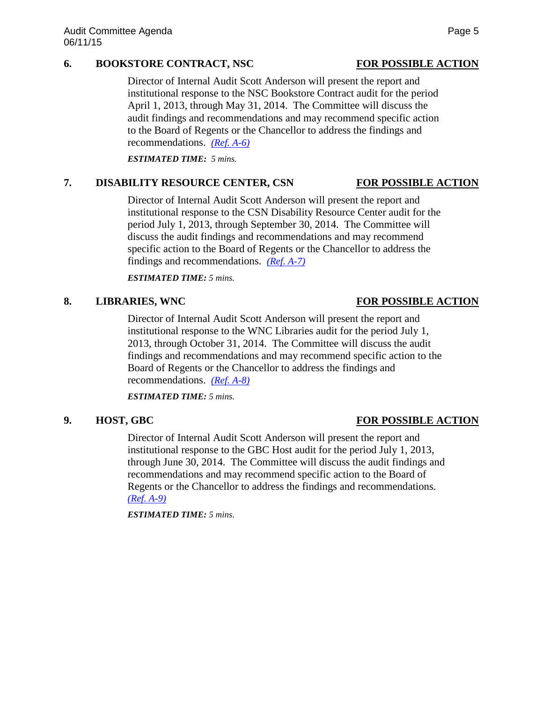# **6. BOOKSTORE CONTRACT, NSC FOR POSSIBLE ACTION**

Director of Internal Audit Scott Anderson will present the report and institutional response to the NSC Bookstore Contract audit for the period April 1, 2013, through May 31, 2014. The Committee will discuss the audit findings and recommendations and may recommend specific action to the Board of Regents or the Chancellor to address the findings and recommendations. *[\(Ref. A-6\)](http://system.nevada.edu/tasks/sites/Nshe/assets/File/BoardOfRegents/Agendas/2015/jun-mtgs/audit-refs/A-6.pdf)*

*ESTIMATED TIME: 5 mins.* 

# **7. DISABILITY RESOURCE CENTER, CSN FOR POSSIBLE ACTION**

Director of Internal Audit Scott Anderson will present the report and institutional response to the CSN Disability Resource Center audit for the period July 1, 2013, through September 30, 2014. The Committee will discuss the audit findings and recommendations and may recommend specific action to the Board of Regents or the Chancellor to address the findings and recommendations. *[\(Ref. A-7\)](http://system.nevada.edu/tasks/sites/Nshe/assets/File/BoardOfRegents/Agendas/2015/jun-mtgs/audit-refs/A-7.pdf)*

*ESTIMATED TIME: 5 mins.*

# **8. LIBRARIES, WNC FOR POSSIBLE ACTION**

Director of Internal Audit Scott Anderson will present the report and institutional response to the WNC Libraries audit for the period July 1, 2013, through October 31, 2014. The Committee will discuss the audit findings and recommendations and may recommend specific action to the Board of Regents or the Chancellor to address the findings and recommendations. *[\(Ref. A-8\)](http://system.nevada.edu/tasks/sites/Nshe/assets/File/BoardOfRegents/Agendas/2015/jun-mtgs/audit-refs/A-8.pdf)*

*ESTIMATED TIME: 5 mins.*

# **9. HOST, GBC FOR POSSIBLE ACTION**

Director of Internal Audit Scott Anderson will present the report and institutional response to the GBC Host audit for the period July 1, 2013, through June 30, 2014. The Committee will discuss the audit findings and recommendations and may recommend specific action to the Board of Regents or the Chancellor to address the findings and recommendations. *[\(Ref. A-9\)](http://system.nevada.edu/tasks/sites/Nshe/assets/File/BoardOfRegents/Agendas/2015/jun-mtgs/audit-refs/A-9.pdf)*

*ESTIMATED TIME: 5 mins.*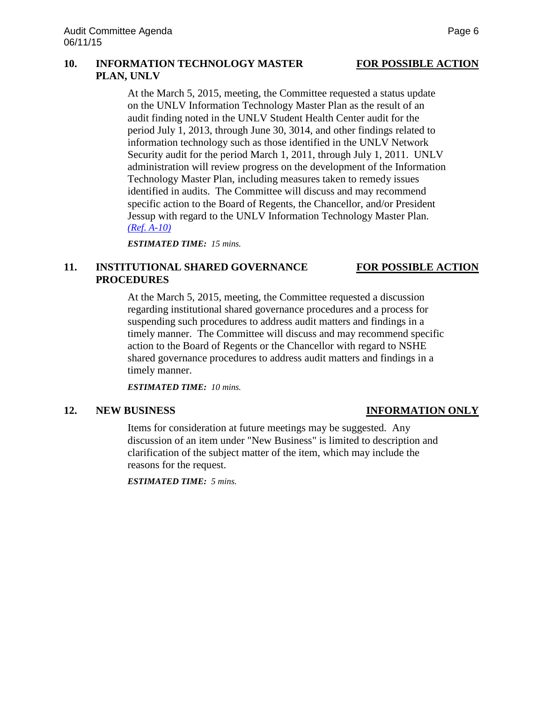## **10. INFORMATION TECHNOLOGY MASTER FOR POSSIBLE ACTION PLAN, UNLV**

At the March 5, 2015, meeting, the Committee requested a status update on the UNLV Information Technology Master Plan as the result of an audit finding noted in the UNLV Student Health Center audit for the period July 1, 2013, through June 30, 3014, and other findings related to information technology such as those identified in the UNLV Network Security audit for the period March 1, 2011, through July 1, 2011. UNLV administration will review progress on the development of the Information Technology Master Plan, including measures taken to remedy issues identified in audits. The Committee will discuss and may recommend specific action to the Board of Regents, the Chancellor, and/or President Jessup with regard to the UNLV Information Technology Master Plan. *[\(Ref. A-10\)](http://system.nevada.edu/tasks/sites/Nshe/assets/File/BoardOfRegents/Agendas/2015/jun-mtgs/audit-refs/A-10.pdf)*

*ESTIMATED TIME: 15 mins.*

# **11. INSTITUTIONAL SHARED GOVERNANCE FOR POSSIBLE ACTION PROCEDURES**

At the March 5, 2015, meeting, the Committee requested a discussion regarding institutional shared governance procedures and a process for suspending such procedures to address audit matters and findings in a timely manner. The Committee will discuss and may recommend specific action to the Board of Regents or the Chancellor with regard to NSHE shared governance procedures to address audit matters and findings in a timely manner.

*ESTIMATED TIME: 10 mins.*

Items for consideration at future meetings may be suggested. Any discussion of an item under "New Business" is limited to description and clarification of the subject matter of the item, which may include the reasons for the request.

*ESTIMATED TIME: 5 mins.*

# **12. NEW BUSINESS INFORMATION ONLY**